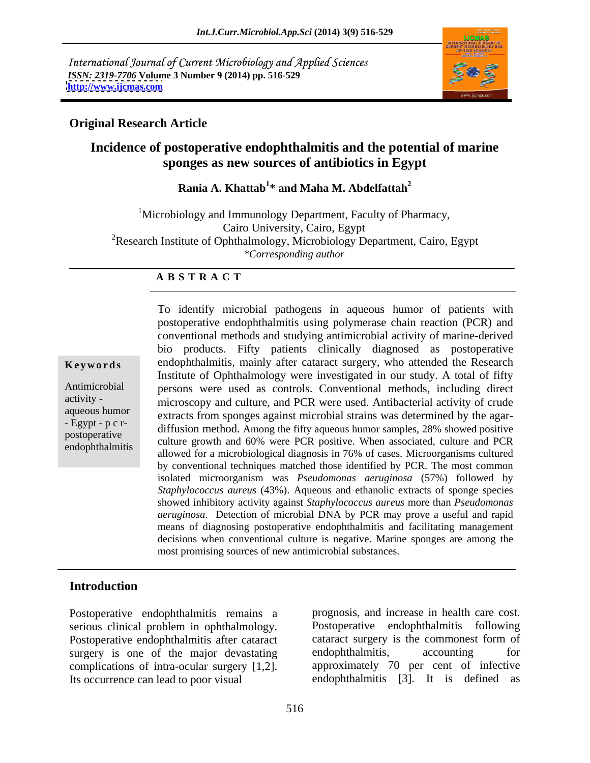International Journal of Current Microbiology and Applied Sciences *ISSN: 2319-7706* **Volume 3 Number 9 (2014) pp. 516-529 <http://www.ijcmas.com>**



### **Original Research Article**

### **Incidence of postoperative endophthalmitis and the potential of marine sponges as new sources of antibiotics in Egypt**

### **Rania A. Khattab<sup>1</sup> \* and Maha M. Abdelfattah2**

<sup>1</sup>Microbiology and Immunology Department, Faculty of Pharmacy, Cairo University, Cairo, Egypt <sup>2</sup>Research Institute of Ophthalmology, Microbiology Department, Cairo, Egypt *\*Corresponding author*

#### **A B S T R A C T**

**Keywords** endophthalmitis, mainly after cataract surgery, who attended the Research Antimicrobial persons were used as controls. Conventional methods, including direct activity - microscopy and culture, and PCR were used. Antibacterial activity of crude aqueous humor<br>- Egypt - p c r-<br>diffusion method. Among the fifty expects humor semples 28% showed positive postoperative culture growth and 60% were PCR positive. When associated, culture and PCR positive. endophthalmitis culture growth and 60% were TCK positive. When associated, culture and TCK allowed for a microbiological diagnosis in 76% of cases. Microorganisms cultured To identify microbial pathogens in aqueous humor of patients with postoperative endophthalmitis using polymerase chain reaction (PCR) and conventional methods and studying antimicrobial activity of marine-derived bio products. Fifty patients clinically diagnosed as postoperative Institute of Ophthalmology were investigated in our study. A total of fifty diffusion method. Among the fifty aqueous humor samples, 28% showed positive by conventional techniques matched those identified by PCR. The most common isolated microorganism was *Pseudomonas aeruginosa* (57%) followed by *Staphylococcus aureus* (43%). Aqueous and ethanolic extracts of sponge species showed inhibitory activity against *Staphylococcus aureus* more than *Pseudomonas aeruginosa*. Detection of microbial DNA by PCR may prove a useful and rapid means of diagnosing postoperative endophthalmitis and facilitating management decisions when conventional culture is negative. Marine sponges are among the most promising sources of new antimicrobial substances.

#### **Introduction**

Postoperative endophthalmitis remains a Postoperative endophthalmitis after cataract cataract surgery surgery is one of the maior devastating endophthalmitis, surgery is one of the major devastating endophthalmitis, accounting for complications of intra-ocular surgery [1,2].

serious clinical problem in ophthalmology. Postoperative endophthalmitis following<br>Postoperative endophthalmitis after cataract cataract surgery is the commonest form of Its occurrence can lead to poor visual endophthalmitis [3]. It is defined as prognosis, and increase in health care cost. Postoperative endophthalmitis following cataract surgery is the commonest form of endophthalmitis, accounting for approximately 70 per cent of infective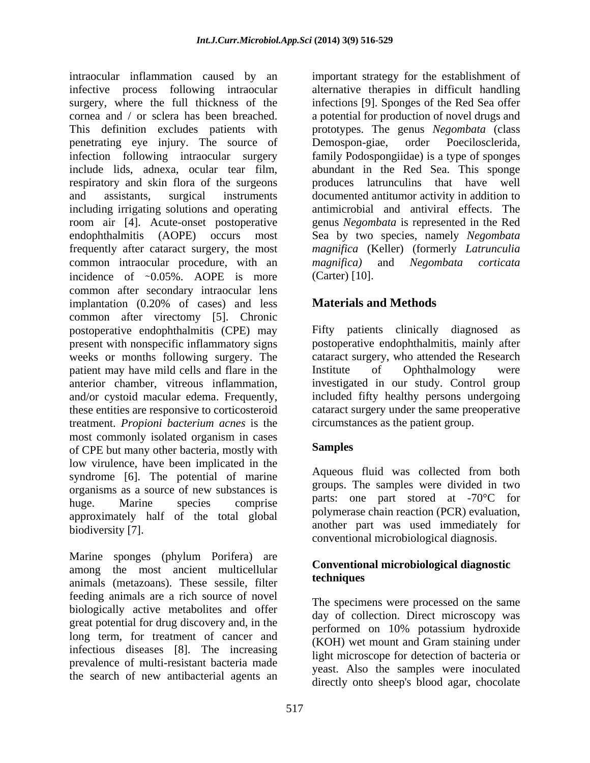intraocular inflammation caused by an important strategy for the establishment of infective process following intraocular alternative therapies in difficult handling surgery, where the full thickness of the infections [9]. Sponges of the Red Sea offer cornea and / or sclera has been breached. a potential for production of novel drugs and This definition excludes patients with prototypes. The genus *Negombata* (class penetrating eye injury. The source of Demospon-giae, order Poecilosclerida, infection following intraocular surgery family Podospongiidae) is a type of sponges include lids, adnexa, ocular tear film, abundant in the Red Sea. This sponge respiratory and skin flora of the surgeons and assistants, surgical instruments documented antitumor activity in addition to including irrigating solutions and operating room air [4]. Acute-onset postoperative genus *Negombata* is represented in the Red endophthalmitis (AOPE) occurs most Sea by two species, namely *Negombata*  frequently after cataract surgery, the most common intraocular procedure, with an *magnifica*) and *Negombata corticata* incidence of  $\sim 0.05\%$ . AOPE is more common after secondary intraocular lens implantation (0.20% of cases) and less common after virectomy [5]. Chronic postoperative endophthalmitis (CPE) may present with nonspecific inflammatory signs weeks or months following surgery. The cataract surgery, who attended the Research patient may have mild cells and flare in the list interval of Ophthalmology were anterior chamber, vitreous inflammation, investigated in our study. Control group and/or cystoid macular edema. Frequently, included fifty healthy persons undergoing these entities are responsive to corticosteroid cataract surgery under the same preoperative treatment. *Propioni bacterium acnes* is the most commonly isolated organism in cases of CPE but many other bacteria, mostly with low virulence, have been implicated in the syndrome [6]. The potential of marine organisms as a source of new substances is huge. Marine species comprise  $\mu$  parts: one part stored at  $\mu$  for  $\mu$ approximately half of the total global

Marine sponges (phylum Porifera) are among the most ancient multicellular **Convention**<br>conjuncts (motograph) These sessile filter **techniques** animals (metazoans). These sessile, filter feeding animals are a rich source of novel biologically active metabolites and offer great potential for drug discovery and, in the long term, for treatment of cancer and infectious diseases [8]. The increasing prevalence of multi-resistant bacteria made the search of new antibacterial agents an

Demospon-giae, order Poecilosclerida, produces latrunculins that have well antimicrobial and antiviral effects. The *magnifica* (Keller) (formerly *Latrunculia magnifica)* and *Negombata corticata* (Carter) [10].

### **Materials and Methods**

Fifty patients clinically diagnosed as postoperative endophthalmitis, mainly after Institute of Ophthalmology were circumstances as the patient group.

### **Samples**

biodiversity [7]. another part was used immediately for Aqueous fluid was collected from both groups. The samples were divided in two parts: one part stored at -70°C for polymerase chain reaction (PCR) evaluation, conventional microbiological diagnosis.

### **Conventional microbiological diagnostic techniques**

The specimens were processed on the same day of collection. Direct microscopy was performed on 10% potassium hydroxide (KOH) wet mount and Gram staining under light microscope for detection of bacteria or yeast. Also the samples were inoculated directly onto sheep's blood agar, chocolate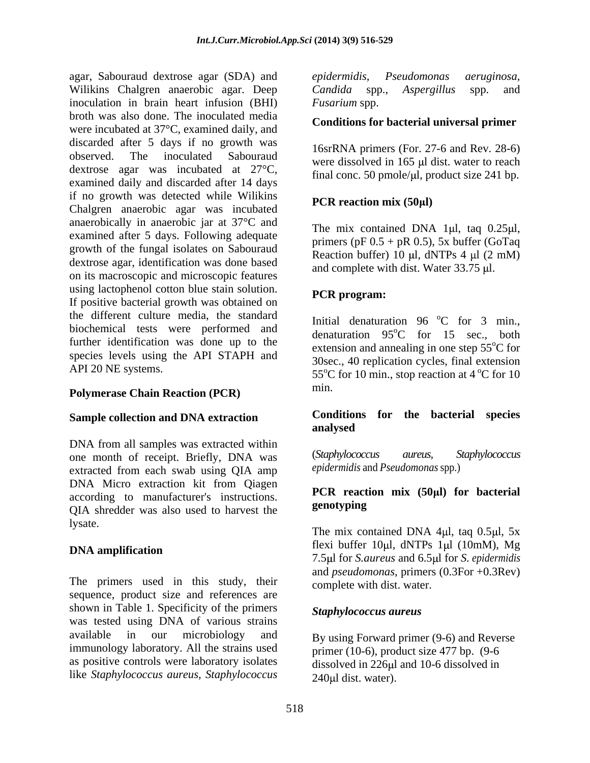agar, Sabouraud dextrose agar (SDA) and *epidermidis*, *Pseudomonas aeruginosa*, Wilikins Chalgren anaerobic agar. Deep Candida spp., Aspergillus spp. and inoculation in brain heart infusion (BHI) Fusarium spp. broth was also done. The inoculated media were incubated at 37°C, examined daily, and discarded after 5 days if no growth was observed. The inoculated Sabouraud were dissolved in 165  $\mu$  dist. water to reach dextrose agar was incubated at 27°C, examined daily and discarded after 14 days if no growth was detected while Wilikins Chalgren anaerobic agar was incubated anaerobically in anaerobic jar at 37°C and examined after 5 days. Following adequate growth of the fungal isolates on Sabouraud dextrose agar, identification was done based on its macroscopic and microscopic features using lactophenol cotton blue stain solution.<br> **PCR** program: If positive bacterial growth was obtained on the different culture media, the standard biochemical tests were performed and further identification was done up to the species levels using the API STAPH and

### **Polymerase Chain Reaction (PCR)** min.

## **Sample collection and DNA extraction**

DNA from all samples was extracted within<br>one month of receipt Briefly DNA was (Staphylococcus aureus, Staphylococcus one month of receipt. Briefly, DNA was extracted from each swab using QIA amp DNA Micro extraction kit from Qiagen according to manufacturer's instructions. <br>CIA shockles we also yeed to harvest the **genotyping** QIA shredder was also used to harvest the lysate.

The primers used in this study, their sequence, product size and references are shown in Table 1. Specificity of the primers was tested using DNA of various strains available in our microbiology and By using Forward primer (9-6) and Reverse immunology laboratory. All the strains used as positive controls were laboratory isolates like *Staphylococcus aureus, Staphylococcus*

*epidermidis, Pseudomonas aeruginosa, Candida* spp., *Aspergillus* spp. and *Fusarium* spp.

#### **Conditions for bacterial universal primer**

16srRNA primers (For. 27-6 and Rev. 28-6) final conc. 50 pmole/ $\mu$ l, product size 241 bp.

### **PCR reaction mix (50 l)**

The mix contained DNA 1 $\mu$ l, tag 0.25 $\mu$ l, primers (pF  $0.5 + pR$  0.5), 5x buffer (GoTaq) Reaction buffer) 10  $\mu$ l, dNTPs 4  $\mu$ l (2 mM) and complete with dist. Water 33.75 µl.

### **PCR program:**

API 20 NE systems.  $55^{\circ}$ C for 10 min., stop reaction at 4  $^{\circ}$ C for 10 Initial denaturation  $96^{\circ}$ C for 3 min.,  $^{\circ}$ C for 3 min., denaturation  $95^{\circ}$ C for 15 sec., both  $^{\circ}$ C for 15 sec., both extension and annealing in one step  $55^{\circ}$ C for 30sec., 40 replication cycles, final extension min.

#### **Conditions for the bacterial species analysed**

(*Staphylococcus aureus, Staphylococcus epidermidis* and *Pseudomonas* spp.)

#### **PCR reaction mix (50 l) for bacterial genotyping**

**DNA amplification SECULE 10. ILLUSTRATE IN ALCOHOLY DNA amplification** The mix contained DNA 4 $\mu$ l, taq 0.5 $\mu$ l, 5x flexi buffer 10 $\mu$ l, dNTPs 1 $\mu$ l (10mM), Mg 7.5 l for *S.aureus* and 6.5 l for *S. epidermidis*  and *pseudomonas*, primers (0.3For +0.3Rev) complete with dist. water.

#### *Staphylococcus aureus*

primer (10-6), product size 477 bp. (9-6 dissolved in 226µl and 10-6 dissolved in  $240 \mu l$  dist. water).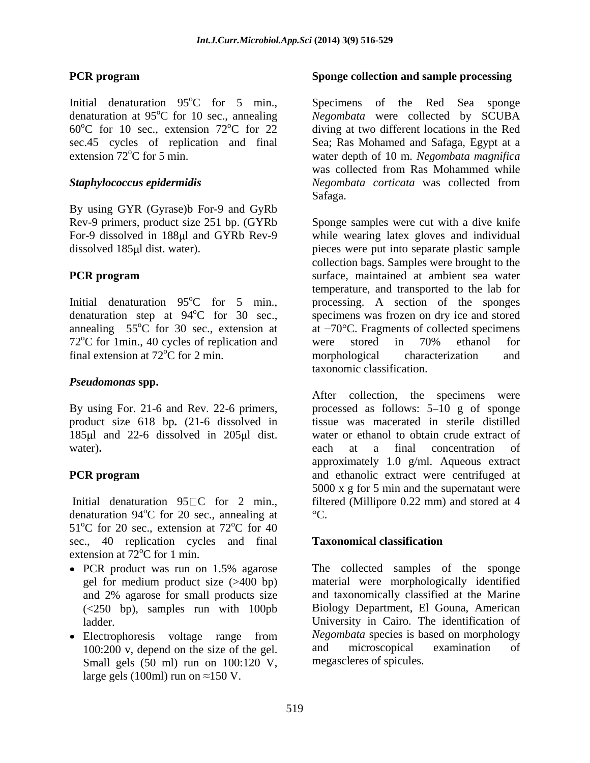Initial denaturation  $95^{\circ}$ C for 5 min., Specimens denaturation at 95<sup>o</sup>C for 10 sec., annealing Negombata were collected by SCUBA  $60^{\circ}$ C for 10 sec., extension  $72^{\circ}$ C for 22 diving at two different locations in the Red sec.45 cycles of replication and final Sea; Ras Mohamed and Safaga, Egypt at a

By using GYR (Gyrase)b For-9 and GyRb

 $72^{\circ}$ C for 1min., 40 cycles of replication and were stored in  $70\%$  ethanol for final extension at  $72^{\circ}$ C for 2 min. morphological characterization and

### *Pseudomonas* **spp.**

product size 618 bp**.** (21-6 dissolved in 185 ul and 22-6 dissolved in 205 ul dist.

Initial denaturation 95 C for 2 min., denaturation 94 $^{\circ}$ C for 20 sec., annealing at  $^{\circ}$ C.  $51^{\circ}$ C for 20 sec., extension at 72 $^{\circ}$ C for 40  $\rm{^{\circ}C}$  for 40 sec., 40 replication cycles and final **Taxonomical classification** extension at  $72^{\circ}$ C for 1 min.

- gel for medium product size (>400 bp) and 2% agarose for small products size (<250 bp), samples run with 100pb
- Small gels (50 ml) run on 100:120 V, large gels (100ml) run on  $\approx$ 150 V.

### **PCR program Sponge collection and sample processing**

<sup>o</sup>C for 5 min., Specimens of the Red Sea sponge extension 72<sup>o</sup>C for 5 min. Water depth of 10 m. *Negombata magnifica Staphylococcus epidermidis Negombata corticata* was collected from of the Red Sea sponge was collected from Ras Mohammed while Safaga. **Safaga**.

Rev-9 primers, product size 251 bp. (GYRb Sponge samples were cut with a dive knife For-9 dissolved in 188µl and GYRb Rev-9 while wearing latex gloves and individual dissolved 185µl dist. water). pieces were put into separate plastic sample **PCR program** surface, maintained at ambient sea water Initial denaturation 95<sup>o</sup>C for 5 min., processing. A section of the sponges denaturation step at  $94^{\circ}$ C for 30 sec., specimens was frozen on dry ice and stored annealing  $55^{\circ}$ C for 30 sec., extension at at  $-70^{\circ}$ C. Fragments of collected specimens collection bags. Samples were brought to the temperature, and transported to the lab for were stored in 70% ethanol for morphological characterization and taxonomic classification.

By using For. 21-6 and Rev. 22-6 primers, processed as follows: 5–10 g of sponge water). **Example 20** ach at a final concentration of **PCR program** and ethanolic extract were centrifuged at  $^{\circ}$ C for 20 sec., annealing at  $^{\circ}$ C. After collection, the specimens were tissue was macerated in sterile distilled water or ethanol to obtain crude extract of each at a final concentration of approximately 1.0 g/ml. Aqueous extract 5000 x g for 5 min and the supernatant were filtered (Millipore 0.22 mm) and stored at 4  $\mathrm{C}$ .

#### **Taxonomical classification**

PCR product was run on 1.5% agarose The collected samples of the sponge ladder. University in Cairo. The identification of Electrophoresis voltage range from *Negombata* species is based on morphology 100:200 v, depend on the size of the gel. and microscopical examination of The collected samples of the sponge material were morphologically identified and taxonomically classified at the Marine Biology Department, El Gouna, American *Negombata* species is based on morphology and microscopical examination of megascleres of spicules.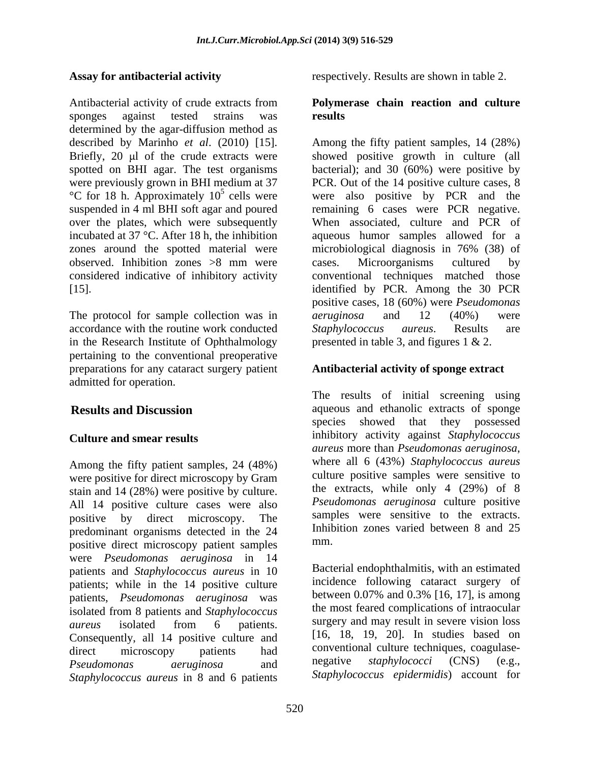Antibacterial activity of crude extracts from **Polymerase chain reaction and culture** sponges against tested strains was **results** determined by the agar-diffusion method as spotted on BHI agar. The test organisms over the plates, which were subsequently zones around the spotted material were microbiological diagnosis in 76% (38) of

The protocol for sample collection was in *aeruginosa* and 12 (40%) were accordance with the routine work conducted Staphylococcus aureus. Results are in the Research Institute of Ophthalmology pertaining to the conventional preoperative preparations for any cataract surgery patient **Antibacterial activity of sponge extract** admitted for operation.

were positive for direct microscopy by Gram stain and 14 (28%) were positive by culture. All 14 positive culture cases were also positive by direct microscopy. The predominant organisms detected in the 24 Inhib positive direct microscopy patient samples were *Pseudomonas aeruginosa* in 14 patients and *Staphylococcus aureus* in 10 patients; while in the 14 positive culture incidence following cataract surgery of<br>patients. Bsaudomonas agrueinosa, was between 0.07% and 0.3% [16, 17], is among patients, *Pseudomonas aeruginosa* was isolated from 8 patients and *Staphylococcus aureus* isolated from 6 patients. Consequently, all 14 positive culture and direct microscopy patients had conventional culture techniques, coagulase-*Pseudomonas aeruginosa* and *Staphylococcus aureus* in 8 and 6 patients

Assay for antibacterial activity respectively. Results are shown in table 2.

# **results**

described by Marinho *et al*. (2010) [15]. Among the fifty patient samples, 14 (28%) Briefly, 20 µl of the crude extracts were showed positive growth in culture (all were previously grown in BHI medium at 37  $PCR$ . Out of the 14 positive culture cases, 8 °C for 18 h. Approximately 10<sup>5</sup> cells were also positive by PCR and the cells were were also positive by PCR and the suspended in 4 ml BHI soft agar and poured remaining 6 cases were PCR negative. incubated at 37 °C. After 18 h, the inhibition aqueous humor samples allowed for a observed. Inhibition zones >8 mm were considered indicative of inhibitory activity conventional techniques matched those [15]. identified by PCR. Among the 30 PCR bacterial); and 30 (60%) were positive by PCR. Out of the 14 positive culture cases, 8 When associated, culture and PCR of microbiological diagnosis in 76% (38) of cases. Microorganisms cultured by positive cases, 18 (60%) were *Pseudomonas aeruginosa* and 12 (40%) were *Staphylococcus aureus*. Results are presented in table 3, and figures 1 & 2.

**Results and Discussion** aqueous and ethanolic extracts of sponge **Culture and smear results** inhibitory activity against *Staphylococcus*  Among the fifty patient samples, 24 (48%) where all 6 (43%) Staphylococcus aureus The results of initial screening using species showed that they possessed *aureus* more than *Pseudomonas aeruginosa*, where all <sup>6</sup> (43%) *Staphylococcus aureus* culture positive samples were sensitive to the extracts, while only 4 (29%) of 8 *Pseudomonas aeruginosa* culture positive samples were sensitive to the extracts. Inhibition zones varied between 8 and 25 mm.

> Bacterial endophthalmitis, with an estimated incidence following cataract surgery of between 0.07% and 0.3% [16, 17], is among the most feared complications of intraocular surgery and may result in severe vision loss [16, 18, 19, 20]. In studies based on conventional culture techniques, coagulase negative *staphylococci* (CNS) (e.g., *Staphylococcus epidermidis*) account for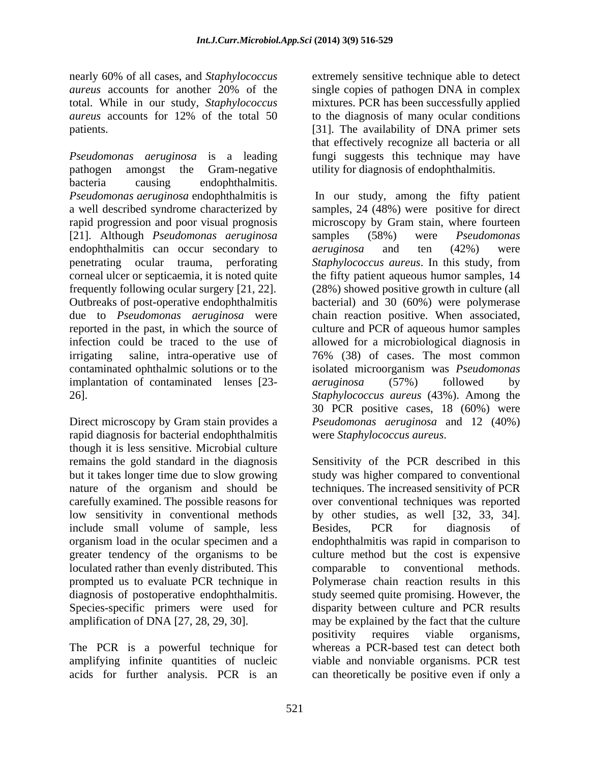nearly 60% of all cases, and *Staphylococcus* extremely sensitive technique able to detect *aureus* accounts for another 20% of the single copies of pathogen DNA in complex total. While in our study, *Staphylococcus* mixtures. PCR has been successfully applied *aureus* accounts for 12% of the total 50 to the diagnosis of many ocular conditions

*Pseudomonas aeruginosa* is a leading fungi suggests this technique may have pathogen amongst the Gram-negative utility for diagnosis of endophthalmitis. bacteria causing endophthalmitis. *Pseudomonas aeruginosa* endophthalmitis is [21]. Although *Pseudomonas aeruginosa* endophthalmitis can occur secondary to *aeruginosa* and ten (42%) were implantation of contaminated lenses [23- *aeruginosa* (57%) followed by

Direct microscopy by Gram stain provides a rapid diagnosis for bacterial endophthalmitis though it is less sensitive. Microbial culture remains the gold standard in the diagnosis Sensitivity of the PCR described in this include small volume of sample, less Besides, PCR for diagnosis of greater tendency of the organisms to be loculated rather than evenly distributed. This comparable to conventional methods.

The PCR is a powerful technique for amplifying infinite quantities of nucleic

patients. [31]. The availability of DNA primer sets that effectively recognize all bacteria or all

a well described syndrome characterized by samples, 24 (48%) were positive for direct rapid progression and poor visual prognosis microscopy by Gram stain, where fourteen penetrating ocular trauma, perforating *Staphylococcus aureus*. In this study, from corneal ulcer or septicaemia, it is noted quite the fifty patient aqueous humor samples, 14 frequently following ocular surgery [21, 22]. (28%) showed positive growth in culture (all Outbreaks of post-operative endophthalmitis bacterial) and 30 (60%) were polymerase due to *Pseudomonas aeruginosa* were chain reaction positive. When associated, reported in the past, in which the source of culture and PCR of aqueous humor samples infection could be traced to the use of allowed for a microbiological diagnosis in irrigating saline, intra-operative use of 76% (38) of cases. The most common contaminated ophthalmic solutions or to the isolated microorganism was *Pseudomonas*  26]. *Staphylococcus aureus* (43%). Among the In our study, among the fifty patient samples (58%) were *Pseudomonas aeruginosa* and ten (42%) were *aeruginosa* (57%) followed by 30 PCR positive cases, 18 (60%) were *Pseudomonas aeruginosa* and 12 (40%) were *Staphylococcus aureus*.

but it takes longer time due to slow growing study was higher compared to conventional nature of the organism and should be techniques. The increased sensitivity of PCR carefully examined. The possible reasons for over conventional techniques was reported low sensitivity in conventional methods by other studies, as well [32, 33, 34]. organism load in the ocular specimen and a endophthalmitis was rapid in comparison to prompted us to evaluate PCR technique in Polymerase chain reaction results in this diagnosis of postoperative endophthalmitis. study seemed quite promising. However, the Species-specific primers were used for disparity between culture and PCR results amplification of DNA [27, 28, 29, 30]. may be explained by the fact that the culture acids for further analysis. PCR is an can theoretically be positive even if only a Sensitivity of the PCR described in this Besides, PCR for diagnosis of culture method but the cost is expensive comparable to conventional positivity requires viable organisms, whereas a PCR-based test can detect both viable and nonviable organisms. PCR test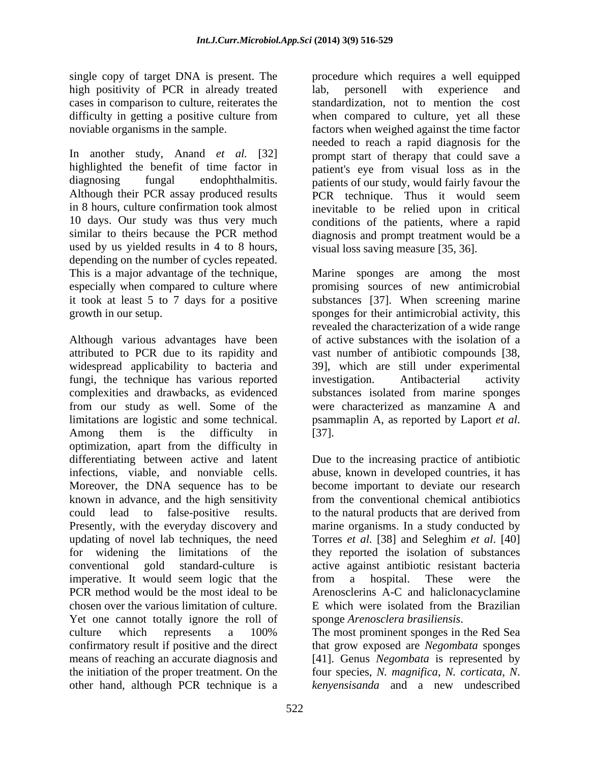single copy of target DNA is present. The high positivity of PCR in already treated lab, personell with experience and

used by us yielded results in 4 to 8 hours, depending on the number of cycles repeated. This is a major advantage of the technique,<br>
especially when compared to culture where<br>  $\frac{1}{2}$  momising sources of new antimicrobial

attributed to PCR due to its rapidity and fungi, the technique has various reported complexities and drawbacks, as evidenced from our study as well. Some of the limitations are logistic and some technical. psammaplin A, as reported by Laport *et al.* optimization, apart from the difficulty in differentiating between active and latent Moreover, the DNA sequence has to be known in advance, and the high sensitivity imperative. It would seem logic that the from a hospital. These were the chosen over the various limitation of culture. Yet one cannot totally ignore the roll of sponge Arenosclera brasiliensis. culture which represents a 100% The most prominent sponges in the Red Sea confirmatory result if positive and the direct that grow exposed are *Negombata* sponges means of reaching an accurate diagnosis and [41]. Genus *Negombata* is represented by the initiation of the proper treatment. On the four species, *N. magnifica*, *N. corticata*, *N*.

cases in comparison to culture, reiterates the standardization, not to mention the cost difficulty in getting a positive culture from when compared to culture, yet all these noviable organisms in the sample. factors when weighed against the time factor In another study, Anand *et al.* [32] needed to reach a rapid diagnosis for the prompt start of therapy that could save a highlighted the benefit of time factor in patient's eye from visual loss as in the diagnosing fungal endophthalmitis. patients of our study, would fairly favour the Although their PCR assay produced results PCR technique. Thus it would seem in 8 hours, culture confirmation took almost inevitable to be relied upon in critical 10 days. Our study was thus very much conditions of the patients, where a rapid similar to theirs because the PCR method diagnosis and prompt treatment would be a procedure which requires a well equipped lab, personell with experience and needed to reach a rapid diagnosis for the prompt start of therapy that could save a patients of our study, would fairly favour the PCR technique. Thus it would seem visual loss saving measure [35, 36].

especially when compared to culture where promising sources of new antimicrobial it took at least 5 to 7 days for a positive substances [37]. When screening marine growth in our setup.<br>
growth in our setup.<br>
Although various advantages have been of active substances with the isolation of a<br>
discreption of active substances with the isolation of a widespread applicability to bacteria and 39], which are still under experimental Among them is the difficulty in [37]. Marine sponges are among the most sponges for their antimicrobial activity, this revealed the characterization of a wide range of active substances with the isolation of a vast number of antibiotic compounds [38, investigation. Antibacterial activity substances isolated from marine sponges were characterized as manzamine A and psammaplin A, as reported by Laport *et al*. [37].

infections, viable, and nonviable cells. abuse, known in developed countries, it has could lead to false-positive results. to the natural products that are derived from Presently, with the everyday discovery and marine organisms. In a study conducted by updating of novel lab techniques, the need Torres *et al*. [38] and Seleghim *et al*. [40] for widening the limitations of the they reported the isolation of substances conventional gold standard-culture is active against antibiotic resistant bacteria PCR method would be the most ideal to be Arenosclerins A-C and haliclonacyclamine Due to the increasing practice of antibiotic become important to deviate our research from the conventional chemical antibiotics from a hospital. These were the E which were isolated from the Brazilian

other hand, although PCR technique is a *kenyensisanda* and a new undescribedsponge *Arenosclera brasiliensis*. The most prominent sponges in the Red Sea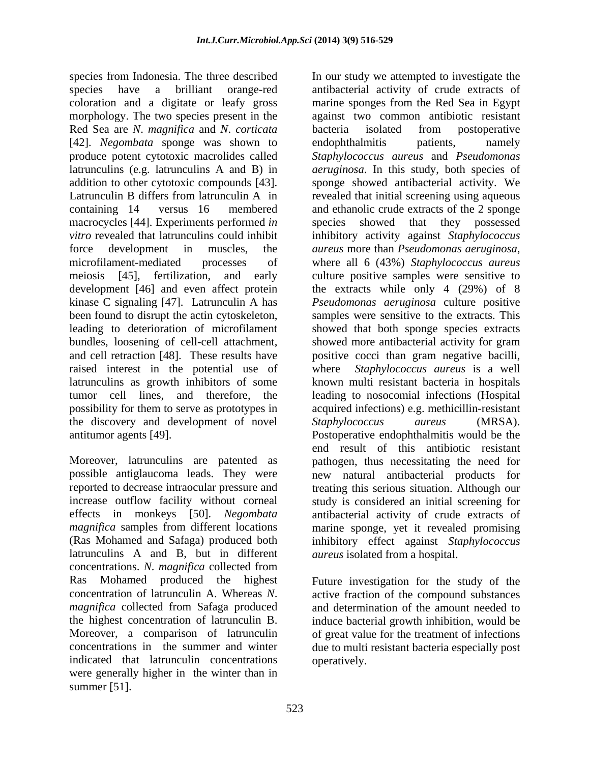species from Indonesia. The three described In our study we attempted to investigate the macrocycles [44]. Experiments performed *in* force development in muscles, the *aureus* more than *Pseudomonas aeruginosa*, microfilament-mediated processes of where all 6 (43%) Staphylococcus aureus raised interest in the potential use of the discovery and development of novel Staphylococcus aureus (MRSA).

latrunculins A and B, but in different concentrations. *N*. *magnifica* collected from Ras Mohamed produced the highest Future investigation for the study of the concentration of latrunculin A. Whereas *N*. active fraction of the compound substances *magnifica* collected from Safaga produced and determination of the amount needed to the highest concentration of latrunculin B. induce bacterial growth inhibition, would be Moreover, a comparison of latrunculin of great value for the treatment of infections concentrations in the summer and winter due to multi resistant bacteria especially post indicated that latrunculin concentrations were generally higher in the winter than in summer  $[51]$ .

species have a brilliant orange-red antibacterial activity of crude extracts of coloration and a digitate or leafy gross marine sponges from the Red Sea in Egypt morphology. The two species present in the against two common antibiotic resistant Red Sea are *N. magnifica* and *N. corticata* bacteria isolated from postoperative [42]. *Negombata* sponge was shown to endophthalmitis patients, namely produce potent cytotoxic macrolides called *Staphylococcus aureus* and *Pseudomonas*  latrunculins (e.g. latrunculins A and B) in *aeruginosa*. In this study, both species of addition to other cytotoxic compounds [43]. sponge showed antibacterial activity. We Latrunculin B differs from latrunculin A in revealed that initial screening using aqueous containing 14 versus 16 membered and ethanolic crude extracts of the 2 sponge *vitro* revealed that latrunculins could inhibit inhibitory activity against *Staphylococcus*  meiosis [45], fertilization, and early culture positive samples were sensitive to development [46] and even affect protein the extracts while only 4 (29%) of 8 kinase C signaling [47]. Latrunculin A has *Pseudomonas aeruginosa* culture positive been found to disrupt the actin cytoskeleton, samples were sensitive to the extracts. This leading to deterioration of microfilament showed that both sponge species extracts bundles, loosening of cell-cell attachment, showed more antibacterial activity for gram and cell retraction [48]. These results have positive cocci than gram negative bacilli, latrunculins as growth inhibitors of some known multi resistant bacteria in hospitals tumor cell lines, and therefore, the leading to nosocomial infections (Hospital possibility for them to serve as prototypes in acquired infections) e.g. methicillin-resistant antitumor agents [49]. Postoperative endophthalmitis would be the Moreover, latrunculins are patented as pathogen, thus necessitating the need for possible antiglaucoma leads. They were new natural antibacterial products for reported to decrease intraocular pressure and treating this serious situation. Although our increase outflow facility without corneal study is considered an initial screening for effects in monkeys [50]. *Negombata* antibacterial activity of crude extracts of magnifica samples from different locations marine sponge, yet it revealed promising (Ras Mohamed and Safaga) produced both inhibitory effect against *Staphylococcus* bacteria isolated from postoperative endophthalmitis patients, namely species showed that they possessed *aureus* more than *Pseudomonas aeruginosa*, where all <sup>6</sup> (43%) *Staphylococcus aureus* Staphylococcus aureus is a well *Staphylococcus aureus* (MRSA). end result of this antibiotic resistant *aureus* isolated from a hospital.

operatively.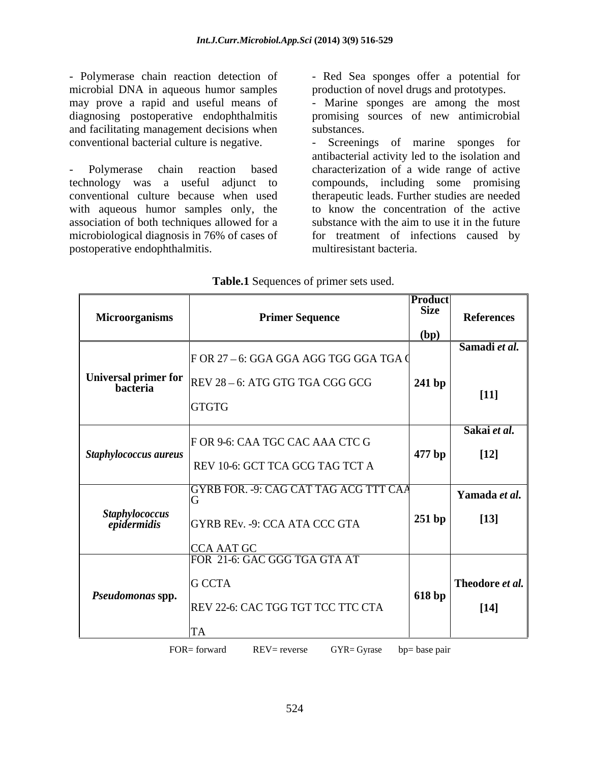- Polymerase chain reaction detection of  $\qquad$  - Red Sea sponges offer a potential for microbial DNA in aqueous humor samples production of novel drugs and prototypes. diagnosing postoperative endophthalmitis and facilitating management decisions when

conventional culture because when used with aqueous humor samples only, the association of both techniques allowed for a

may prove a rapid and useful means of - Marine sponges are among the most promising sources of new antimicrobial substances.

conventional bacterial culture is negative.<br>
- Screenings of marine sponges for<br>
- Polymerase chain reaction based characterization of a wide range of active technology was a useful adjunct to compounds, including some promising microbiological diagnosis in 76% of cases of for treatment of infections caused by - Polymerase chain reaction detection of - Red Sea sponges offer a potential for microbial DNA in aqueous humor samples are among the most diagnosing postoperative endophthalmitis and facilitating management decisions when Screenings of marine sponges for antibacterial activity led to the isolation and characterization of a wide range of active therapeutic leads. Further studies are needed to know the concentration of the active substance with the aim to use it in the future multiresistant bacteria.

|                               |                                                                 | <b>Product</b><br>Size |                   |
|-------------------------------|-----------------------------------------------------------------|------------------------|-------------------|
| <b>Microorganisms</b>         | <b>Primer Sequence</b>                                          |                        | <b>References</b> |
|                               |                                                                 | (bp)                   |                   |
|                               |                                                                 |                        | Samadi et al.     |
|                               | F OR 27 – 6: GGA GGA AGG TGG GGA TGA (                          |                        |                   |
|                               | Universal primer for $REV 28-6$ : ATG GTG TGA CGG GCG           | $ 241$ bp              |                   |
|                               | <b>GTGTG</b>                                                    |                        | $[11]$            |
|                               |                                                                 |                        |                   |
|                               |                                                                 |                        | Sakai et al.      |
| $\vert$ Staphylococcus aureus | F OR 9-6: CAA TGC CAC AAA CTC G                                 | $ 477$ bp              | $[12]$            |
|                               | REV 10-6: GCT TCA GCG TAG TCT A                                 |                        |                   |
|                               |                                                                 |                        |                   |
|                               | GYRB FOR. - 9: CAG CAT TAG ACG TTT CAA                          |                        | Yamada et al.     |
| Staphylococcus<br>epidermidis |                                                                 | 251bp                  | $[13]$            |
|                               | GYRB REv. -9: CCA ATA CCC GTA                                   |                        |                   |
|                               | <b>CCA AAT GC</b>                                               |                        |                   |
|                               | FOR 21-6: GAC GGG TGA GTA AT                                    |                        |                   |
|                               | <b>G</b> CCTA                                                   |                        | Theodore et al.   |
| Pseudomonas spp.              |                                                                 | $ 618$ bp              |                   |
|                               | REV 22-6: CAC TGG TGT TCC TTC CTA                               |                        | $[14]$            |
|                               |                                                                 |                        |                   |
|                               | FOR= forward<br>$REV = reverse$<br>$GYR = Gyrase$ bp= base pair |                        |                   |

#### **Table.1** Sequences of primer sets used.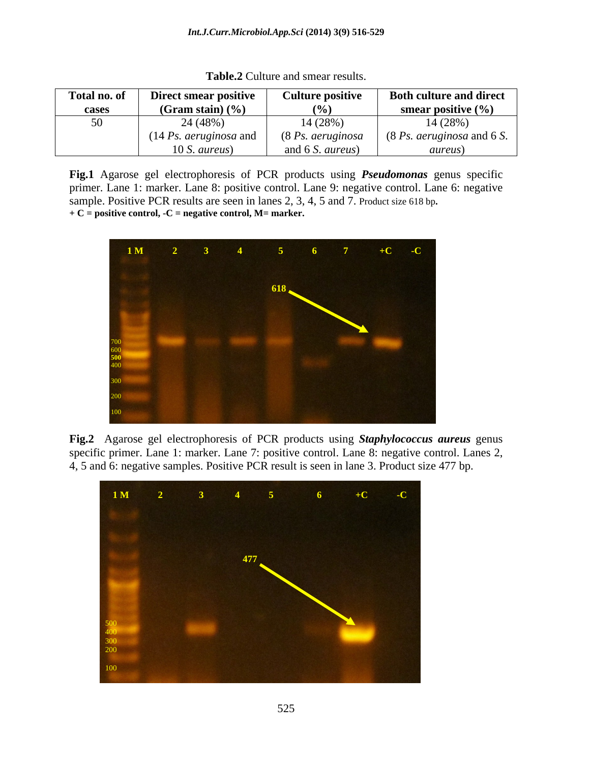| Total no. of  | Direct smear positive                    | <b>Culture positive</b>             | <b>Both culture and direct</b>                                |
|---------------|------------------------------------------|-------------------------------------|---------------------------------------------------------------|
| cases         | (Gram stain) $(\frac{9}{6})$             | (0)                                 | smear positive $(\% )$                                        |
| $\sim$ $\sim$ | 24 (48%)                                 | 14 (28%)                            | 14 (28%)                                                      |
|               | $(14 \text{ Ps.} \text{ aeruginosa}$ and | $(8 \text{Ps.} \text{ aeruginosa})$ | $(8 \text{Ps.} \text{ aeruginosa} \text{ and } 6 \text{ S.})$ |
|               | 10 S. aureus)                            | and 6 S. <i>aureus</i> )            | <i>aureus</i> )                                               |

**Table.2** Culture and smear results.

**Fig.1** Agarose gel electrophoresis of PCR products using *Pseudomonas* genus specific primer. Lane 1: marker. Lane 8: positive control. Lane 9: negative control. Lane 6: negative sample. Positive PCR results are seen in lanes 2, 3, 4, 5 and 7. Product size 618 bp. + C = positive control, -C = negative control, M= marker.



**Fig.2** Agarose gel electrophoresis of PCR products using *Staphylococcus aureus* genus specific primer. Lane 1: marker. Lane 7: positive control. Lane 8: negative control. Lanes 2, 4, 5 and 6: negative samples. Positive PCR result is seen in lane 3. Product size 477 bp.

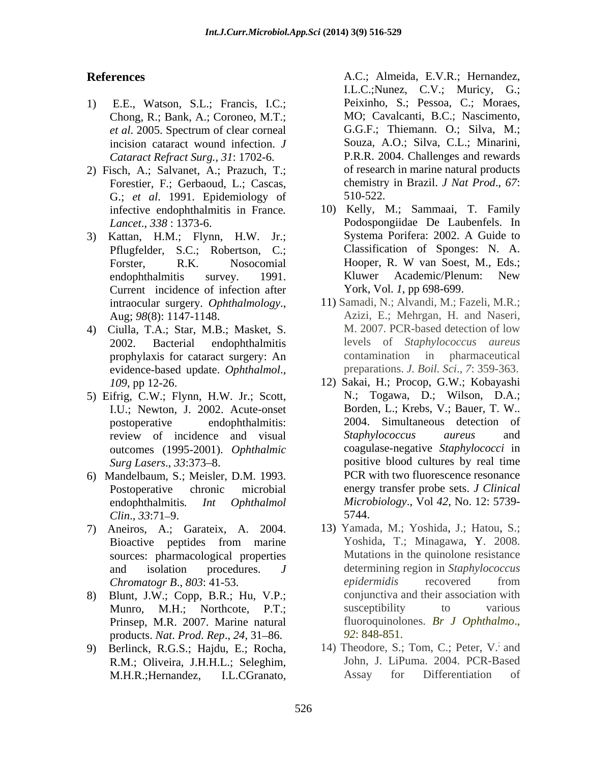- 1) E.E., Watson, S.L.; Francis, I.C.; Chong, R.; Bank, A.; Coroneo, M.T.; incision cataract wound infection. *J Cataract Refract Surg., 31*: 1702-6.
- 2) Fisch, A.; Salvanet, A.; Prazuch, T.; Forestier, F.; Gerbaoud, L.; Cascas, G.; *et al*. 1991. Epidemiology of
- Pflugfelder, S.C.; Robertson, C.; Current incidence of infection after
- prophylaxis for cataract surgery: An evidence-based update. *Ophthalmol*.,
- 5) Eifrig, C.W.; Flynn, H.W. Jr.; Scott, I.U.; Newton, J. 2002. Acute-onset outcomes (1995-2001). *Ophthalmic*
- 6) Mandelbaum, S.; Meisler, D.M. 1993. *Clin.*, *33*:71–9. 5744.
- 7) Aneiros, A.; Garateix, A. 2004. sources: pharmacological properties
- 8) Blunt, J.W.; Copp, B.R.; Hu, V.P.; Prinsep, M.R. 2007. Marine natural products. *Nat. Prod. Rep.*, 24, 31–86. 92: 848-851.
- 9) Berlinck, R.G.S.; Hajdu, E.; Rocha,

**References** A.C.; Almeida, E.V.R.; Hernandez, *et al*. 2005. Spectrum of clear corneal Peixinho, S.; Pessoa, C.; Moraes, MO; Cavalcanti, B.C.; Nascimento, G.G.F.; Thiemann. O.; Silva, M.; Souza, A.O.; Silva, C.L.; Minarini, P.R.R. 2004. Challenges and rewards of research in marine natural products chemistry in Brazil. *J Nat Prod*., *67*: 510-522.

- infective endophthalmitis in France. 10) Kelly, M.; Sammaai, T. Family<br>*Lancet*., 338 : 1373-6. Podospongiidae De Laubenfels. In 3) Kattan, H.M.; Flynn, H.W. Jr.; Forster, R.K. Nosocomial Hooper, R. W van Soest, M., Eds.; endophthalmitis survey. 1991. Kluwer Academic/Plenum: New 10) Kelly, M.; Sammaai, T. Family Podospongiidae De Laubenfels. In Systema Porifera: 2002. A Guide to Classification of Sponges: N. A. Hooper, R. W van Soest, M., Eds.; Kluwer Academic/Plenum: New York, Vol. *1*, pp 698-699.
- intraocular surgery. *Ophthalmology*., 11) Samadi, N.; Alvandi, M.; Fazeli, M.R.; Aug; *98*(8): 1147-1148. Azizi, E.; Mehrgan, H. and Naseri, 4) Ciulla, T.A.; Star, M.B.; Masket, S. 2002. Bacterial endophthalmitis levels of *Staphylococcus aureus* M. 2007. PCR-based detection of low contamination in pharmaceutical preparations. *J. Boil. Sci*., *7*: 359-363.
- *109*, pp 12-26. 12) Sakai, H.; Procop, G.W.; Kobayashi postoperative endophthalmitis: 2004. Simultaneous detection of review of incidence and visual Staphylococcus aureus and Surg Lasers., 33:373–8. Postoperative chronic microbial energy transfer probe sets. *J Clinical* endophthalmitis*. Int Ophthalmol Microbiology*., Vol *42*, No. 12: 5739- **EXERCS:** I.L.C.; Almeindez, I.L.C.; Almeindez, I.C.; Almeindez, I.C.; Almein, G. Electron, C. Moral, A.C.; Muricy, G. Electron, C. Stress, M., Almein, C. Stress, M., Almein, C. Stress, M., Almein, C. Stress, M., Almein, C N.; Togawa, D.; Wilson, D.A.; Borden, L.; Krebs, V.; Bauer, T. W.. *Staphylococcus aureus* and coagulase-negative *Staphylococci* in PCR with two fluorescence resonance
	- Bioactive peptides from marine Yoshida, T.; Minagawa, Y. 2008. and isolation procedures. *J*  determining region in *Staphylococcus Chromatogr B*., *803*: 41-53. Munro, M.H.; Northcote, P.T.; susceptibility to various 5744. 13) Yamada, M.; Yoshida, J.; Hatou, S.; Yoshida, T.; Minagawa, Y. 2008. Mutations in the quinolone resistance *epidermidis* recovered from conjunctiva and their association with susceptibility to various fluoroquinolones. *Br J Ophthalmo*., *92*: 848-851.
	- R.M.; Oliveira, J.H.H.L.; Seleghim, John, J. LiPuma. 2004. PCR-Based<br>MHR Hernandez II CGranato Assay for Differentiation of 14) Theodore, S.; Tom, C.; Peter, V. and John, J. LiPuma. 2004. PCR-Based Assay for Differentiation of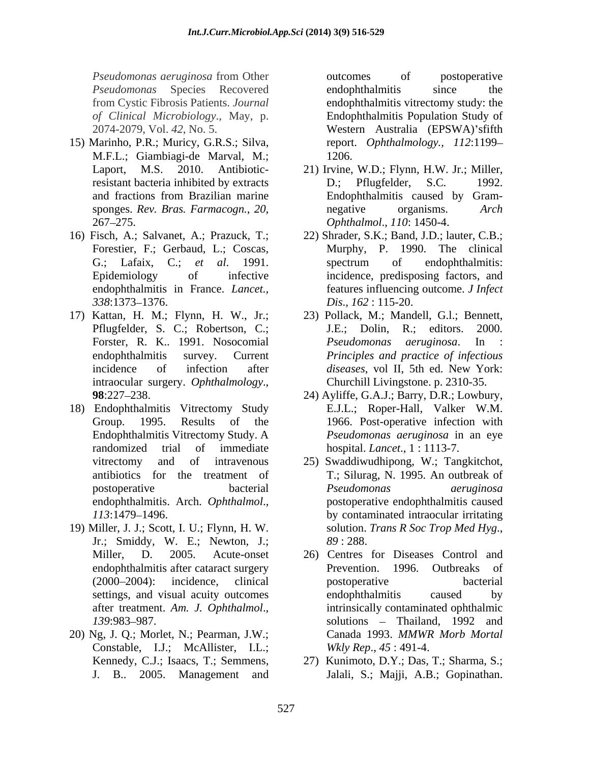*Pseudomonas aeruginosa* from Other *Pseudomonas* Species Recovered

- 15) Marinho, P.R.; Muricy, G.R.S.; Silva, M.F.L.; Giambiagi-de Marval, M.;
- endophthalmitis in France. *Lancet.,*
- 17) Kattan, H. M.; Flynn, H. W., Jr.; 23) Pollack, M.; Mandell, G.l.; Bennett, intraocular surgery. *Ophthalmology*.,
- 18) Endophthalmitis Vitrectomy Study
- 19) Miller, J. J.; Scott, I. U.; Flynn, H. W. Jr.; Smiddy, W. E.; Newton, J.;
- 20) Ng, J. Q.; Morlet, N.; Pearman, J.W.; Constable, I.J.; McAllister, I.L.;

from Cystic Fibrosis Patients. *Journal*  endophthalmitis vitrectomy study: the *of Clinical Microbiology*., May, p. Endophthalmitis Population Study of 2074-2079, Vol. *42*, No. 5. Western Australia (EPSWA) sfifth outcomes of postoperative endophthalmitis since the report. *Ophthalmology., 112*:1199 1206.

- Laport, M.S. 2010. Antibiotic-21) Irvine, W.D.; Flynn, H.W. Jr.; Miller, resistant bacteria inhibited by extracts D.; Pflugfelder, S.C. 1992. and fractions from Brazilian marine sponges. *Rev. Bras. Farmacogn.*, 20, approximative corganisms. Arch 267–275. D.: Pflugfelder, Endophthalmitis caused by Gram negative organisms. *Arch Ophthalmol*., *110*: 1450-4.
- 16) Fisch, A.; Salvanet, A.; Prazuck, T.; 22) Shrader, S.K.; Band, J.D.; lauter, C.B.; Forestier, F.; Gerbaud, L.; Coscas, Murphy, P. 1990. The clinical G.; Lafaix, C.; *et al*. 1991. Epidemiology of infective incidence, predisposing factors, and *338*:1373–1376. *Dis., 162*: 115-20. spectrum of endophthalmitis: features influencing outcome. *J Infect Dis*., *162* : 115-20.
	- Pflugfelder, S. C.; Robertson, C.; J.E.; Dolin, R.; editors. 2000. Forster, R. K.. 1991. Nosocomial *Pseudomonas aeruginosa*. In endophthalmitis survey. Current *Principles and practice of infectious* incidence of infection after *diseases*, vol II, 5th ed. New York: J.E.; Dolin, R.; editors. <sup>2000</sup>*. Pseudomonas aeruginosa*. In : diseases, vol II, 5th ed. New York: Churchill Livingstone. p. 2310-35.
	- **98**:227–238. 24) Ayliffe, G.A.J.; Barry, D.R.; Lowbury, Group. 1995. Results of the 1966. Post-operative infection with Endophthalmitis Vitrectomy Study. A *Pseudomonas aeruginosa* in an eye randomized trial of immediate hospital. *Lancet*., 1:1113-7. E.J.L.; Roper-Hall, Valker W.M.
	- vitrectomy and of intravenous 25) Swaddiwudhipong, W.; Tangkitchot, antibiotics for the treatment of T.; Silurag, N. 1995. An outbreak of postoperative bacterial *Pseudomonas aeruginosa* endophthalmitis. Arch. *Ophthalmol*., postoperative endophthalmitis caused *113*:1479 1496. by contaminated intraocular irritating *Pseudomonas aeruginosa* solution. *Trans R Soc Trop Med Hyg*., *89* : 288.
	- Miller, D. 2005. Acute-onset 26) Centres for Diseases Control and endophthalmitis after cataract surgery **Exercise Prevention.** 1996. Outbreaks of (2000–2004): incidence, clinical postoperative bacterial settings, and visual acuity outcomes endophthalmitis caused by after treatment. *Am. J. Ophthalmol*., intrinsically contaminated ophthalmic 139:983–987. solutions – Thailand, 1992 and Prevention. 1996. Outbreaks postoperative bacterial endophthalmitis caused by Canada 1993. *MMWR Morb Mortal Wkly Rep*., *45* : 491-4.
	- Kennedy, C.J.; Isaacs, T.; Semmens, 27) Kunimoto, D.Y.; Das, T.; Sharma, S.; J. B.. 2005. Management and Jalali, S.; Majji, A.B.; Gopinathan.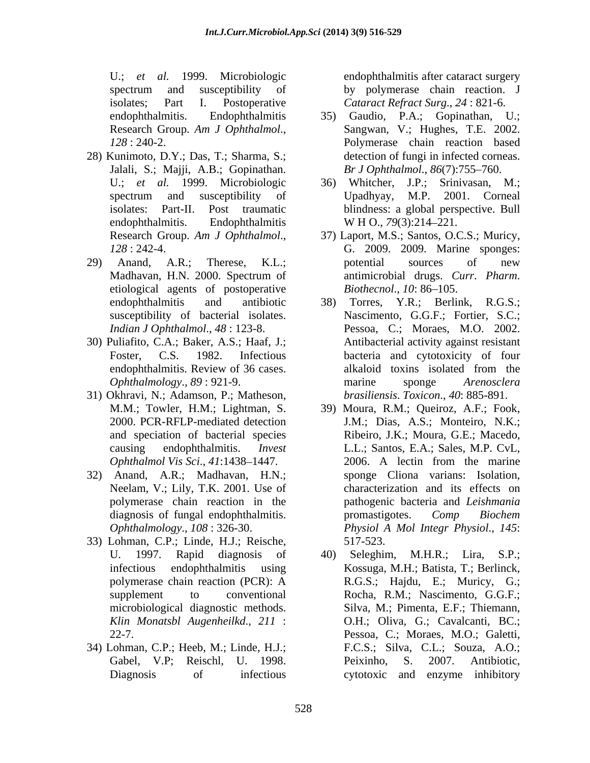U.; *et al.* 1999. Microbiologic endophthalmitis after cataract surgery spectrum and susceptibility of by polymerase chain reaction. J isolates; Part I. Postoperative *Cataract Refract Surg*., *24* : 821-6.

- 28) Kunimoto, D.Y.; Das, T.; Sharma, S.; Jalali, S.; Majji, A.B.; Gopinathan. endophthalmitis. Endophthalmitis W H O., 79(3):214–221.
- 29) Anand, A.R.; Therese, K.L.; potential sources of new etiological agents of postoperative *Biothecnol., 10*:86–105. susceptibility of bacterial isolates.
- 30) Puliafito, C.A.; Baker, A.S.; Haaf, J.;
- 31) Okhravi, N.; Adamson, P.; Matheson,
- 32) Anand, A.R.; Madhavan, H.N.; Neelam, V.; Lily, T.K. 2001. Use of polymerase chain reaction in the
- 33) Lohman, C.P.; Linde, H.J.; Reische,
- 34) Lohman, C.P.; Heeb, M.; Linde, H.J.;

by polymerase chain reaction. J

- endophthalmitis. Endophthalmitis 35) Gaudio, P.A.; Gopinathan, U.; Research Group. *Am J Ophthalmol*., *128* : 240-2. Polymerase chain reaction based Sangwan, V.; Hughes, T.E. 2002. detection of fungi in infected corneas. *Br J Ophthalmol*., *86*(7):755 760.
- U.; *et al.* 1999. Microbiologic 36) Whitcher, J.P.; Srinivasan, M.; spectrum and susceptibility of Upadhyay, M.P. 2001. Corneal isolates: Part-II. Post traumatic blindness: a global perspective. Bull Upadhyay, M.P. 2001. Corneal W H O., 79(3):214–221.
- Research Group. *Am J Ophthalmol*., 37) Laport, M.S.; Santos, O.C.S.; Muricy, *128* : 242-4. G. 2009. 2009. Marine sponges: Madhavan, H.N. 2000. Spectrum of antimicrobial drugs. Curr. Pharm. potential sources of new antimicrobial drugs. *Curr*. *Pharm*. *Biothecnol., 10:* 86–105.
- endophthalmitis and antibiotic 38) Torres, Y.R.; Berlink, R.G.S.; *Indian J Ophthalmol*., *48* : 123-8. Pessoa, C.; Moraes, M.O. 2002. Foster, C.S. 1982. Infectious bacteria and cytotoxicity of four endophthalmitis. Review of 36 cases. *Ophthalmology*., *89* : 921-9. Nascimento, G.G.F.; Fortier, S.C.; Antibacterial activity against resistant alkaloid toxins isolated from the marine sponge *Arenosclera brasiliensis*. *Toxicon*., *40*: 885-891.
- M.M.; Towler, H.M.; Lightman, S. 39) Moura, R.M.; Queiroz, A.F.; Fook, 2000. PCR-RFLP-mediated detection J.M.; Dias, A.S.; Monteiro, N.K.; and speciation of bacterial species Ribeiro, J.K.; Moura, G.E.; Macedo, causing endophthalmitis. *Invest* L.L.; Santos, E.A.; Sales, M.P. CvL, *Ophthalmol Vis Sci., 41:1438–1447.* 2006. A lectin from the marine diagnosis of fungal endophthalmitis. The promastigotes. Comp Biochem *Ophthalmology*., *108* : 326-30. *Physiol A Mol Integr Physiol*., *145*: 2006. A lectin from the marine sponge Cliona varians: Isolation, characterization and its effects on pathogenic bacteria and *Leishmania* promastigotes. *Comp Biochem* 517-523.
- U. 1997. Rapid diagnosis of 40) Seleghim, M.H.R.; Lira, S.P.; infectious endophthalmitis using Kossuga, M.H.; Batista, T.; Berlinck, polymerase chain reaction (PCR): A supplement to conventional Rocha, R.M.; Nascimento, G.G.F.; microbiological diagnostic methods. Silva, M.; Pimenta, E.F.; Thiemann, microbiological diagnostic methods. Silva, M.; Pimenta, E.F.; Thiemann,<br>*Klin Monatsbl Augenheilkd*., 211 : O.H.; Oliva, G.; Cavalcanti, BC.; 22-7. Pessoa, C.; Moraes, M.O.; Galetti, Gabel, V.P; Reischl, U. 1998. Peixinho, S. 2007. Antibiotic, Diagnosis of infectious cytotoxic and enzyme inhibitoryR.G.S.; Hajdu, E.; Muricy, G.; F.C.S.; Silva, C.L.; Souza, A.O.; Peixinho, S. 2007. Antibiotic,